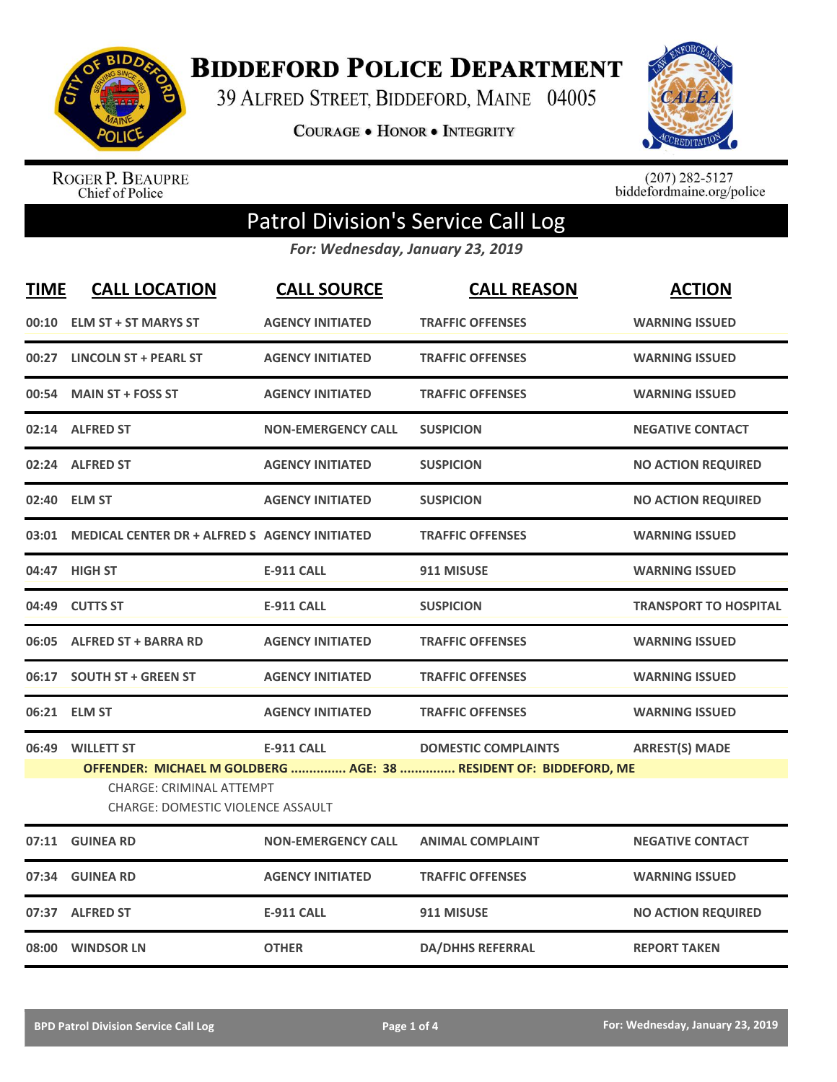

**BIDDEFORD POLICE DEPARTMENT** 

39 ALFRED STREET, BIDDEFORD, MAINE 04005

COURAGE . HONOR . INTEGRITY



ROGER P. BEAUPRE<br>Chief of Police

 $(207)$  282-5127<br>biddefordmaine.org/police

## Patrol Division's Service Call Log

*For: Wednesday, January 23, 2019*

| <b>TIME</b> | <b>CALL LOCATION</b>                                                 | <b>CALL SOURCE</b>        | <b>CALL REASON</b>                                                                              | <b>ACTION</b>                |  |
|-------------|----------------------------------------------------------------------|---------------------------|-------------------------------------------------------------------------------------------------|------------------------------|--|
|             | 00:10 ELM ST + ST MARYS ST                                           | <b>AGENCY INITIATED</b>   | <b>TRAFFIC OFFENSES</b>                                                                         | <b>WARNING ISSUED</b>        |  |
|             | 00:27 LINCOLN ST + PEARL ST                                          | <b>AGENCY INITIATED</b>   | <b>TRAFFIC OFFENSES</b>                                                                         | <b>WARNING ISSUED</b>        |  |
|             | 00:54 MAIN ST + FOSS ST                                              | <b>AGENCY INITIATED</b>   | <b>TRAFFIC OFFENSES</b>                                                                         | <b>WARNING ISSUED</b>        |  |
|             | 02:14 ALFRED ST                                                      | <b>NON-EMERGENCY CALL</b> | <b>SUSPICION</b>                                                                                | <b>NEGATIVE CONTACT</b>      |  |
|             | 02:24 ALFRED ST                                                      | <b>AGENCY INITIATED</b>   | <b>SUSPICION</b>                                                                                | <b>NO ACTION REQUIRED</b>    |  |
|             | 02:40 ELM ST                                                         | <b>AGENCY INITIATED</b>   | <b>SUSPICION</b>                                                                                | <b>NO ACTION REQUIRED</b>    |  |
| 03:01       | <b>MEDICAL CENTER DR + ALFRED S AGENCY INITIATED</b>                 |                           | <b>TRAFFIC OFFENSES</b>                                                                         | <b>WARNING ISSUED</b>        |  |
|             | 04:47 HIGH ST                                                        | <b>E-911 CALL</b>         | 911 MISUSE                                                                                      | <b>WARNING ISSUED</b>        |  |
|             | 04:49 CUTTS ST                                                       | <b>E-911 CALL</b>         | <b>SUSPICION</b>                                                                                | <b>TRANSPORT TO HOSPITAL</b> |  |
|             | 06:05 ALFRED ST + BARRA RD                                           | <b>AGENCY INITIATED</b>   | <b>TRAFFIC OFFENSES</b>                                                                         | <b>WARNING ISSUED</b>        |  |
|             | 06:17 SOUTH ST + GREEN ST                                            | <b>AGENCY INITIATED</b>   | <b>TRAFFIC OFFENSES</b>                                                                         | <b>WARNING ISSUED</b>        |  |
|             | 06:21 ELM ST                                                         | <b>AGENCY INITIATED</b>   | <b>TRAFFIC OFFENSES</b>                                                                         | <b>WARNING ISSUED</b>        |  |
|             | 06:49 WILLETT ST                                                     | <b>E-911 CALL</b>         | <b>DOMESTIC COMPLAINTS</b><br>OFFENDER: MICHAEL M GOLDBERG  AGE: 38  RESIDENT OF: BIDDEFORD, ME | <b>ARREST(S) MADE</b>        |  |
|             | CHARGE: CRIMINAL ATTEMPT<br><b>CHARGE: DOMESTIC VIOLENCE ASSAULT</b> |                           |                                                                                                 |                              |  |
|             | 07:11 GUINEA RD                                                      | <b>NON-EMERGENCY CALL</b> | <b>ANIMAL COMPLAINT</b>                                                                         | <b>NEGATIVE CONTACT</b>      |  |
| 07:34       | <b>GUINEA RD</b>                                                     | <b>AGENCY INITIATED</b>   | <b>TRAFFIC OFFENSES</b>                                                                         | <b>WARNING ISSUED</b>        |  |
|             | 07:37 ALFRED ST                                                      | <b>E-911 CALL</b>         | 911 MISUSE                                                                                      | <b>NO ACTION REQUIRED</b>    |  |
|             | 08:00 WINDSOR LN                                                     | <b>OTHER</b>              | <b>DA/DHHS REFERRAL</b>                                                                         | <b>REPORT TAKEN</b>          |  |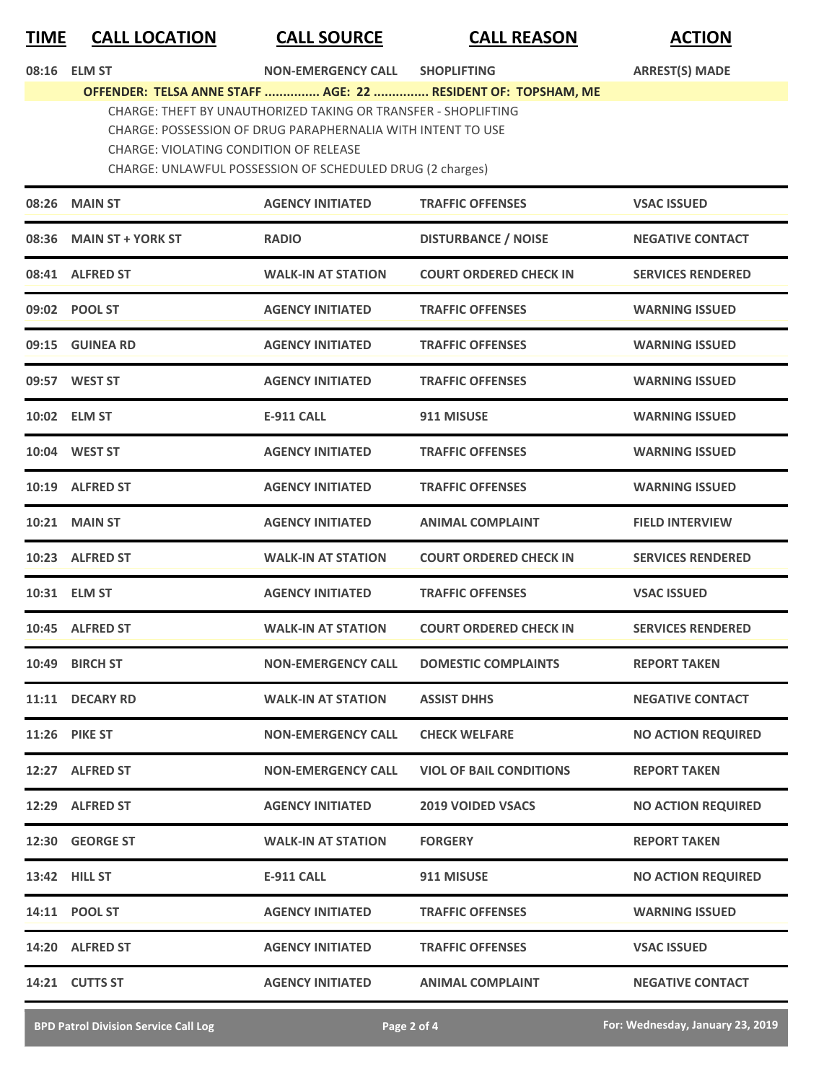| <b>TIME</b> | <b>CALL LOCATION</b> |  |
|-------------|----------------------|--|
|             |                      |  |

**TIME CALL LOCATION CALL SOURCE CALL REASON ACTION**

|       | 08:16 ELM ST                                                                                                                                                                                                                                                                                                 | <b>NON-EMERGENCY CALL</b> | <b>SHOPLIFTING</b>             | <b>ARREST(S) MADE</b>     |  |
|-------|--------------------------------------------------------------------------------------------------------------------------------------------------------------------------------------------------------------------------------------------------------------------------------------------------------------|---------------------------|--------------------------------|---------------------------|--|
|       | OFFENDER: TELSA ANNE STAFF  AGE: 22  RESIDENT OF: TOPSHAM, ME<br>CHARGE: THEFT BY UNAUTHORIZED TAKING OR TRANSFER - SHOPLIFTING<br>CHARGE: POSSESSION OF DRUG PARAPHERNALIA WITH INTENT TO USE<br><b>CHARGE: VIOLATING CONDITION OF RELEASE</b><br>CHARGE: UNLAWFUL POSSESSION OF SCHEDULED DRUG (2 charges) |                           |                                |                           |  |
|       | 08:26 MAIN ST                                                                                                                                                                                                                                                                                                | <b>AGENCY INITIATED</b>   | <b>TRAFFIC OFFENSES</b>        | <b>VSAC ISSUED</b>        |  |
| 08:36 | <b>MAIN ST + YORK ST</b>                                                                                                                                                                                                                                                                                     | <b>RADIO</b>              | <b>DISTURBANCE / NOISE</b>     | <b>NEGATIVE CONTACT</b>   |  |
|       | 08:41 ALFRED ST                                                                                                                                                                                                                                                                                              | <b>WALK-IN AT STATION</b> | <b>COURT ORDERED CHECK IN</b>  | <b>SERVICES RENDERED</b>  |  |
|       | 09:02 POOL ST                                                                                                                                                                                                                                                                                                | <b>AGENCY INITIATED</b>   | <b>TRAFFIC OFFENSES</b>        | <b>WARNING ISSUED</b>     |  |
|       | 09:15 GUINEA RD                                                                                                                                                                                                                                                                                              | <b>AGENCY INITIATED</b>   | <b>TRAFFIC OFFENSES</b>        | <b>WARNING ISSUED</b>     |  |
|       | 09:57 WEST ST                                                                                                                                                                                                                                                                                                | <b>AGENCY INITIATED</b>   | <b>TRAFFIC OFFENSES</b>        | <b>WARNING ISSUED</b>     |  |
|       | 10:02 ELM ST                                                                                                                                                                                                                                                                                                 | <b>E-911 CALL</b>         | 911 MISUSE                     | <b>WARNING ISSUED</b>     |  |
|       | 10:04 WEST ST                                                                                                                                                                                                                                                                                                | <b>AGENCY INITIATED</b>   | <b>TRAFFIC OFFENSES</b>        | <b>WARNING ISSUED</b>     |  |
|       | 10:19 ALFRED ST                                                                                                                                                                                                                                                                                              | <b>AGENCY INITIATED</b>   | <b>TRAFFIC OFFENSES</b>        | <b>WARNING ISSUED</b>     |  |
|       | <b>10:21 MAIN ST</b>                                                                                                                                                                                                                                                                                         | <b>AGENCY INITIATED</b>   | <b>ANIMAL COMPLAINT</b>        | <b>FIELD INTERVIEW</b>    |  |
|       | 10:23 ALFRED ST                                                                                                                                                                                                                                                                                              | <b>WALK-IN AT STATION</b> | <b>COURT ORDERED CHECK IN</b>  | <b>SERVICES RENDERED</b>  |  |
|       | 10:31 ELM ST                                                                                                                                                                                                                                                                                                 | <b>AGENCY INITIATED</b>   | <b>TRAFFIC OFFENSES</b>        | <b>VSAC ISSUED</b>        |  |
|       | 10:45 ALFRED ST                                                                                                                                                                                                                                                                                              | <b>WALK-IN AT STATION</b> | <b>COURT ORDERED CHECK IN</b>  | <b>SERVICES RENDERED</b>  |  |
| 10:49 | <b>BIRCH ST</b>                                                                                                                                                                                                                                                                                              | <b>NON-EMERGENCY CALL</b> | <b>DOMESTIC COMPLAINTS</b>     | <b>REPORT TAKEN</b>       |  |
|       | 11:11 DECARY RD                                                                                                                                                                                                                                                                                              | <b>WALK-IN AT STATION</b> | <b>ASSIST DHHS</b>             | <b>NEGATIVE CONTACT</b>   |  |
|       | 11:26 PIKE ST                                                                                                                                                                                                                                                                                                | <b>NON-EMERGENCY CALL</b> | <b>CHECK WELFARE</b>           | <b>NO ACTION REQUIRED</b> |  |
|       | 12:27 ALFRED ST                                                                                                                                                                                                                                                                                              | <b>NON-EMERGENCY CALL</b> | <b>VIOL OF BAIL CONDITIONS</b> | <b>REPORT TAKEN</b>       |  |
|       | 12:29 ALFRED ST                                                                                                                                                                                                                                                                                              | <b>AGENCY INITIATED</b>   | <b>2019 VOIDED VSACS</b>       | <b>NO ACTION REQUIRED</b> |  |
|       | 12:30 GEORGE ST                                                                                                                                                                                                                                                                                              | <b>WALK-IN AT STATION</b> | <b>FORGERY</b>                 | <b>REPORT TAKEN</b>       |  |
|       | 13:42 HILL ST                                                                                                                                                                                                                                                                                                | <b>E-911 CALL</b>         | 911 MISUSE                     | <b>NO ACTION REQUIRED</b> |  |
|       | 14:11 POOL ST                                                                                                                                                                                                                                                                                                | <b>AGENCY INITIATED</b>   | <b>TRAFFIC OFFENSES</b>        | <b>WARNING ISSUED</b>     |  |
|       | 14:20 ALFRED ST                                                                                                                                                                                                                                                                                              | <b>AGENCY INITIATED</b>   | <b>TRAFFIC OFFENSES</b>        | <b>VSAC ISSUED</b>        |  |
|       | 14:21 CUTTS ST                                                                                                                                                                                                                                                                                               | <b>AGENCY INITIATED</b>   | <b>ANIMAL COMPLAINT</b>        | <b>NEGATIVE CONTACT</b>   |  |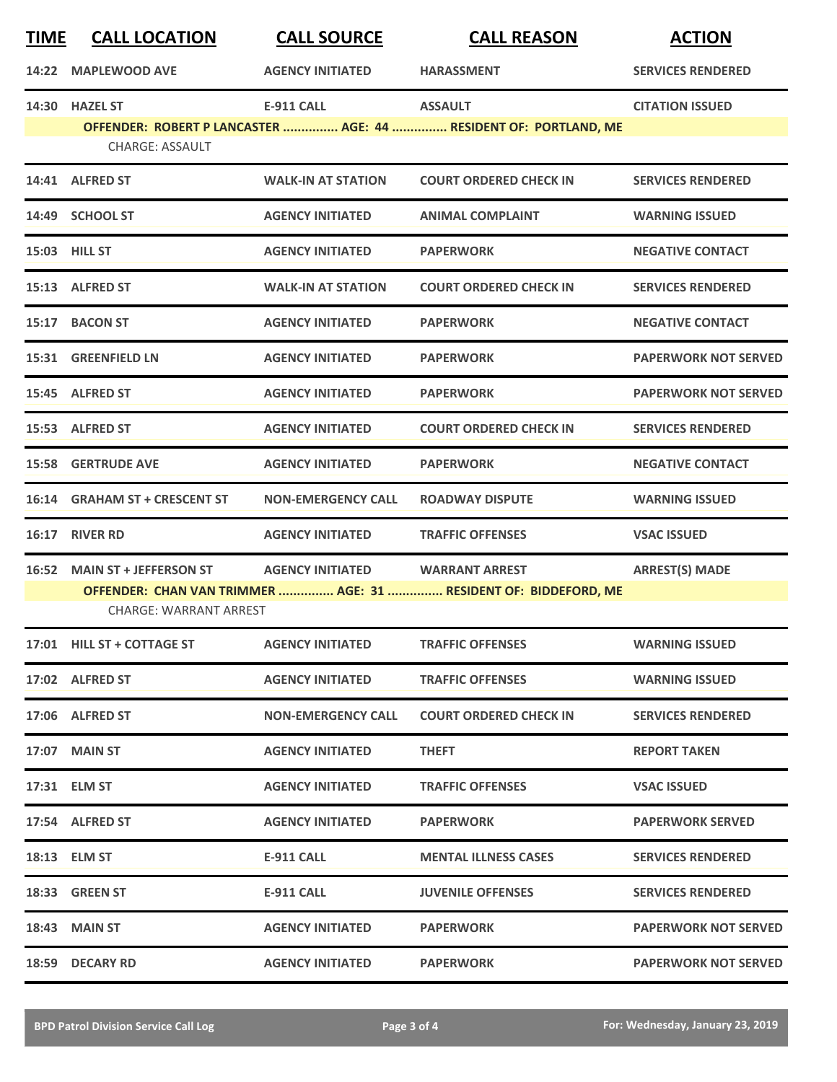| <b>TIME</b> | <b>CALL LOCATION</b>                                           | <b>CALL SOURCE</b>        | <b>CALL REASON</b>                                                                       | <b>ACTION</b>               |
|-------------|----------------------------------------------------------------|---------------------------|------------------------------------------------------------------------------------------|-----------------------------|
| 14:22       | <b>MAPLEWOOD AVE</b>                                           | <b>AGENCY INITIATED</b>   | <b>HARASSMENT</b>                                                                        | <b>SERVICES RENDERED</b>    |
|             | 14:30 HAZEL ST<br><b>CHARGE: ASSAULT</b>                       | <b>E-911 CALL</b>         | <b>ASSAULT</b><br>OFFENDER: ROBERT P LANCASTER  AGE: 44  RESIDENT OF: PORTLAND, ME       | <b>CITATION ISSUED</b>      |
|             | 14:41 ALFRED ST                                                | <b>WALK-IN AT STATION</b> | <b>COURT ORDERED CHECK IN</b>                                                            | <b>SERVICES RENDERED</b>    |
|             | 14:49 SCHOOL ST                                                | <b>AGENCY INITIATED</b>   | <b>ANIMAL COMPLAINT</b>                                                                  | <b>WARNING ISSUED</b>       |
|             | 15:03 HILL ST                                                  | <b>AGENCY INITIATED</b>   | <b>PAPERWORK</b>                                                                         | <b>NEGATIVE CONTACT</b>     |
|             | 15:13 ALFRED ST                                                | <b>WALK-IN AT STATION</b> | <b>COURT ORDERED CHECK IN</b>                                                            | <b>SERVICES RENDERED</b>    |
|             | 15:17 BACON ST                                                 | <b>AGENCY INITIATED</b>   | <b>PAPERWORK</b>                                                                         | <b>NEGATIVE CONTACT</b>     |
|             | 15:31 GREENFIELD LN                                            | <b>AGENCY INITIATED</b>   | <b>PAPERWORK</b>                                                                         | <b>PAPERWORK NOT SERVED</b> |
|             | 15:45 ALFRED ST                                                | <b>AGENCY INITIATED</b>   | <b>PAPERWORK</b>                                                                         | <b>PAPERWORK NOT SERVED</b> |
|             | 15:53 ALFRED ST                                                | <b>AGENCY INITIATED</b>   | <b>COURT ORDERED CHECK IN</b>                                                            | <b>SERVICES RENDERED</b>    |
| 15:58       | <b>GERTRUDE AVE</b>                                            | <b>AGENCY INITIATED</b>   | <b>PAPERWORK</b>                                                                         | <b>NEGATIVE CONTACT</b>     |
| 16:14       | <b>GRAHAM ST + CRESCENT ST</b>                                 | <b>NON-EMERGENCY CALL</b> | <b>ROADWAY DISPUTE</b>                                                                   | <b>WARNING ISSUED</b>       |
| 16:17       | <b>RIVER RD</b>                                                | <b>AGENCY INITIATED</b>   | <b>TRAFFIC OFFENSES</b>                                                                  | <b>VSAC ISSUED</b>          |
| 16:52       | <b>MAIN ST + JEFFERSON ST</b><br><b>CHARGE: WARRANT ARREST</b> | <b>AGENCY INITIATED</b>   | <b>WARRANT ARREST</b><br>OFFENDER: CHAN VAN TRIMMER  AGE: 31  RESIDENT OF: BIDDEFORD, ME | <b>ARREST(S) MADE</b>       |
|             | 17:01 HILL ST + COTTAGE ST                                     | <b>AGENCY INITIATED</b>   | <b>TRAFFIC OFFENSES</b>                                                                  | <b>WARNING ISSUED</b>       |
|             | 17:02 ALFRED ST                                                | <b>AGENCY INITIATED</b>   | <b>TRAFFIC OFFENSES</b>                                                                  | <b>WARNING ISSUED</b>       |
|             | 17:06 ALFRED ST                                                | <b>NON-EMERGENCY CALL</b> | <b>COURT ORDERED CHECK IN</b>                                                            | <b>SERVICES RENDERED</b>    |
|             | <b>17:07 MAIN ST</b>                                           | <b>AGENCY INITIATED</b>   | <b>THEFT</b>                                                                             | <b>REPORT TAKEN</b>         |
|             | 17:31 ELM ST                                                   | <b>AGENCY INITIATED</b>   | <b>TRAFFIC OFFENSES</b>                                                                  | <b>VSAC ISSUED</b>          |
|             | 17:54 ALFRED ST                                                | <b>AGENCY INITIATED</b>   | <b>PAPERWORK</b>                                                                         | <b>PAPERWORK SERVED</b>     |
|             | 18:13 ELM ST                                                   | E-911 CALL                | <b>MENTAL ILLNESS CASES</b>                                                              | <b>SERVICES RENDERED</b>    |
|             | 18:33 GREEN ST                                                 | E-911 CALL                | <b>JUVENILE OFFENSES</b>                                                                 | <b>SERVICES RENDERED</b>    |
|             | <b>18:43 MAIN ST</b>                                           | <b>AGENCY INITIATED</b>   | <b>PAPERWORK</b>                                                                         | <b>PAPERWORK NOT SERVED</b> |
|             | 18:59 DECARY RD                                                | <b>AGENCY INITIATED</b>   | <b>PAPERWORK</b>                                                                         | <b>PAPERWORK NOT SERVED</b> |